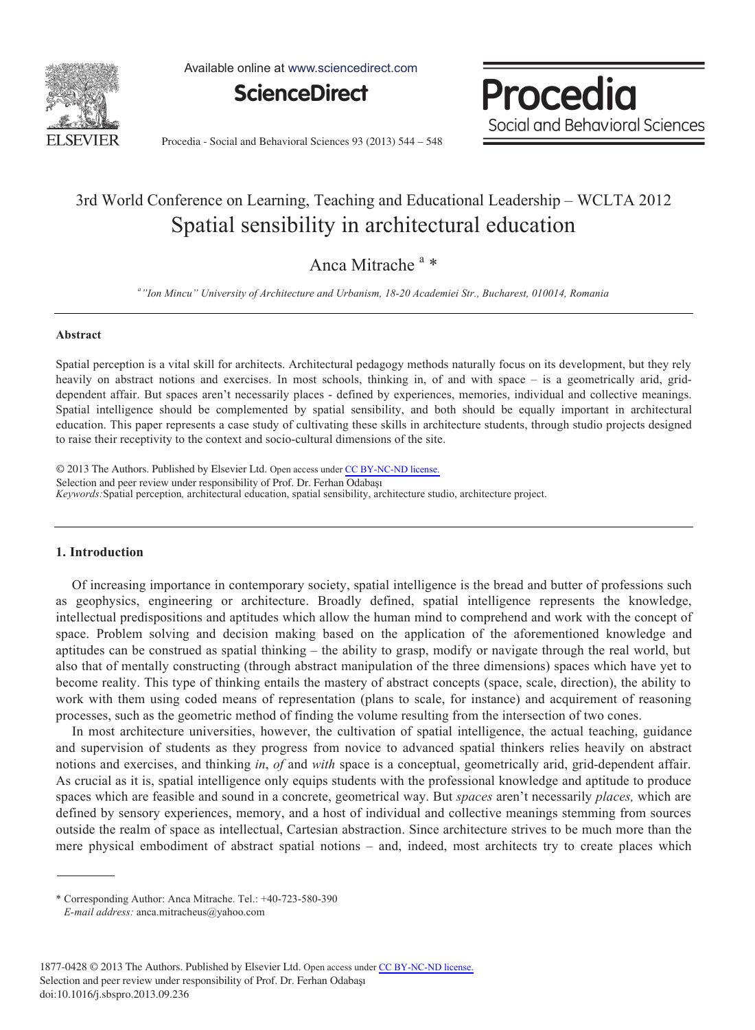

Available online at www.sciencedirect.com



Procedia Social and Behavioral Sciences

Procedia - Social and Behavioral Sciences 93 (2013) 544 – 548

## 3rd World Conference on Learning, Teaching and Educational Leadership – WCLTA 2012 Spatial sensibility in architectural education

### Anca Mitrache<sup>a</sup>\*

*a "Ion Mincu" University of Architecture and Urbanism, 18-20 Academiei Str., Bucharest, 010014, Romania* 

#### **Abstract**

Spatial perception is a vital skill for architects. Architectural pedagogy methods naturally focus on its development, but they rely heavily on abstract notions and exercises. In most schools, thinking in, of and with space – is a geometrically arid, griddependent affair. But spaces aren't necessarily places - defined by experiences, memories, individual and collective meanings. Spatial intelligence should be complemented by spatial sensibility, and both should be equally important in architectural education. This paper represents a case study of cultivating these skills in architecture students, through studio projects designed to raise their receptivity to the context and socio-cultural dimensions of the site.

Selection and peer review under responsibility of Prof. Dr. Ferhan Odabaşı. Selection and peer review under responsibility of Prof. Dr. Ferhan Odabaşı*Keywords:*Spatial perception*,* architectural education, spatial sensibility, architecture studio, architecture project. © 2013 The Authors. Published by Elsevier Ltd. Open access under [CC BY-NC-ND license.](http://creativecommons.org/licenses/by-nc-nd/3.0/)

#### **1. Introduction**

Of increasing importance in contemporary society, spatial intelligence is the bread and butter of professions such as geophysics, engineering or architecture. Broadly defined, spatial intelligence represents the knowledge, intellectual predispositions and aptitudes which allow the human mind to comprehend and work with the concept of space. Problem solving and decision making based on the application of the aforementioned knowledge and aptitudes can be construed as spatial thinking – the ability to grasp, modify or navigate through the real world, but also that of mentally constructing (through abstract manipulation of the three dimensions) spaces which have yet to become reality. This type of thinking entails the mastery of abstract concepts (space, scale, direction), the ability to work with them using coded means of representation (plans to scale, for instance) and acquirement of reasoning processes, such as the geometric method of finding the volume resulting from the intersection of two cones.

In most architecture universities, however, the cultivation of spatial intelligence, the actual teaching, guidance and supervision of students as they progress from novice to advanced spatial thinkers relies heavily on abstract notions and exercises, and thinking *in*, *of* and *with* space is a conceptual, geometrically arid, grid-dependent affair. As crucial as it is, spatial intelligence only equips students with the professional knowledge and aptitude to produce spaces which are feasible and sound in a concrete, geometrical way. But *spaces* aren't necessarily *places,* which are defined by sensory experiences, memory, and a host of individual and collective meanings stemming from sources outside the realm of space as intellectual, Cartesian abstraction. Since architecture strives to be much more than the mere physical embodiment of abstract spatial notions – and, indeed, most architects try to create places which

<sup>\*</sup> Corresponding Author: Anca Mitrache. Tel.: +40-723-580-390 *E-mail address:* anca.mitracheus@yahoo.com

<sup>1877-0428 © 2013</sup> The Authors. Published by Elsevier Ltd. Open access under [CC BY-NC-ND license.](http://creativecommons.org/licenses/by-nc-nd/3.0/) Selection and peer review under responsibility of Prof. Dr. Ferhan Odabaşı doi: 10.1016/j.sbspro.2013.09.236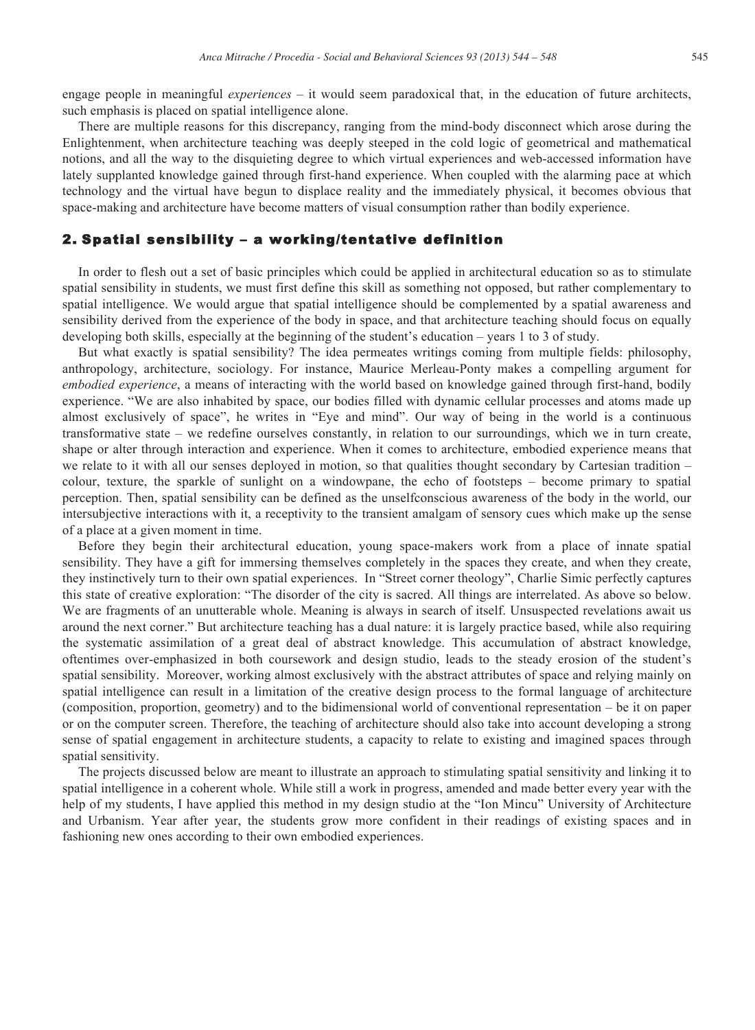engage people in meaningful *experiences* – it would seem paradoxical that, in the education of future architects, such emphasis is placed on spatial intelligence alone.

There are multiple reasons for this discrepancy, ranging from the mind-body disconnect which arose during the Enlightenment, when architecture teaching was deeply steeped in the cold logic of geometrical and mathematical notions, and all the way to the disquieting degree to which virtual experiences and web-accessed information have lately supplanted knowledge gained through first-hand experience. When coupled with the alarming pace at which technology and the virtual have begun to displace reality and the immediately physical, it becomes obvious that space-making and architecture have become matters of visual consumption rather than bodily experience.

#### 2. Spatial sensibility – a working/tentative definition

In order to flesh out a set of basic principles which could be applied in architectural education so as to stimulate spatial sensibility in students, we must first define this skill as something not opposed, but rather complementary to spatial intelligence. We would argue that spatial intelligence should be complemented by a spatial awareness and sensibility derived from the experience of the body in space, and that architecture teaching should focus on equally developing both skills, especially at the beginning of the student's education – years 1 to 3 of study.

But what exactly is spatial sensibility? The idea permeates writings coming from multiple fields: philosophy, anthropology, architecture, sociology. For instance, Maurice Merleau-Ponty makes a compelling argument for *embodied experience*, a means of interacting with the world based on knowledge gained through first-hand, bodily experience. "We are also inhabited by space, our bodies filled with dynamic cellular processes and atoms made up almost exclusively of space", he writes in "Eye and mind". Our way of being in the world is a continuous transformative state – we redefine ourselves constantly, in relation to our surroundings, which we in turn create, shape or alter through interaction and experience. When it comes to architecture, embodied experience means that we relate to it with all our senses deployed in motion, so that qualities thought secondary by Cartesian tradition – colour, texture, the sparkle of sunlight on a windowpane, the echo of footsteps – become primary to spatial perception. Then, spatial sensibility can be defined as the unselfconscious awareness of the body in the world, our intersubjective interactions with it, a receptivity to the transient amalgam of sensory cues which make up the sense of a place at a given moment in time.

Before they begin their architectural education, young space-makers work from a place of innate spatial sensibility. They have a gift for immersing themselves completely in the spaces they create, and when they create, they instinctively turn to their own spatial experiences. In "Street corner theology", Charlie Simic perfectly captures this state of creative exploration: "The disorder of the city is sacred. All things are interrelated. As above so below. We are fragments of an unutterable whole. Meaning is always in search of itself. Unsuspected revelations await us around the next corner." But architecture teaching has a dual nature: it is largely practice based, while also requiring the systematic assimilation of a great deal of abstract knowledge. This accumulation of abstract knowledge, oftentimes over-emphasized in both coursework and design studio, leads to the steady erosion of the student's spatial sensibility. Moreover, working almost exclusively with the abstract attributes of space and relying mainly on spatial intelligence can result in a limitation of the creative design process to the formal language of architecture (composition, proportion, geometry) and to the bidimensional world of conventional representation – be it on paper or on the computer screen. Therefore, the teaching of architecture should also take into account developing a strong sense of spatial engagement in architecture students, a capacity to relate to existing and imagined spaces through spatial sensitivity.

The projects discussed below are meant to illustrate an approach to stimulating spatial sensitivity and linking it to spatial intelligence in a coherent whole. While still a work in progress, amended and made better every year with the help of my students, I have applied this method in my design studio at the "Ion Mincu" University of Architecture and Urbanism. Year after year, the students grow more confident in their readings of existing spaces and in fashioning new ones according to their own embodied experiences.